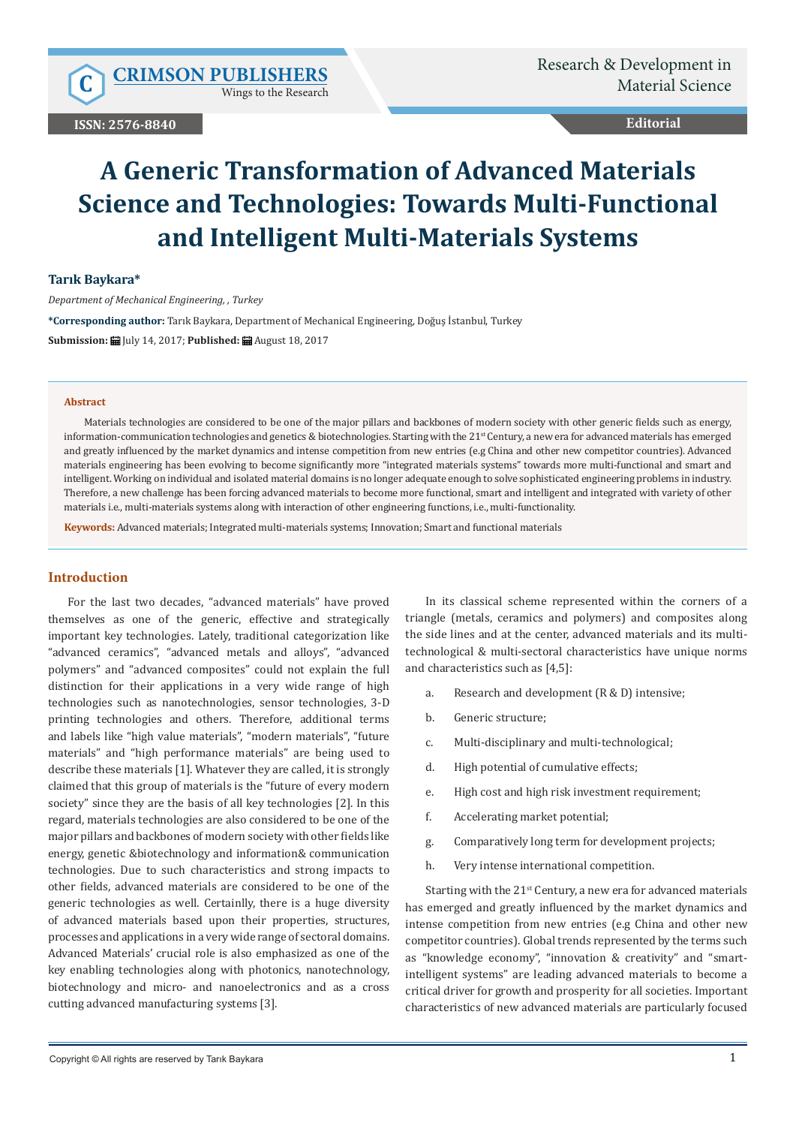Wings to the Research

# **Editorial**

# **A Generic Transformation of Advanced Materials Science and Technologies: Towards Multi-Functional and Intelligent Multi-Materials Systems**

#### **Tarık Baykara\***

*Department of Mechanical Engineering, , Turkey*

**\*Corresponding author:** Tarık Baykara, Department of Mechanical Engineering, Doğuş İstanbul, Turkey

**Submission:** July 14, 2017; **Published:** August 18, 2017

#### **Abstract**

Materials technologies are considered to be one of the major pillars and backbones of modern society with other generic fields such as energy, information-communication technologies and genetics & biotechnologies. Starting with the 21<sup>st</sup> Century, a new era for advanced materials has emerged and greatly influenced by the market dynamics and intense competition from new entries (e.g China and other new competitor countries). Advanced materials engineering has been evolving to become significantly more "integrated materials systems" towards more multi-functional and smart and intelligent. Working on individual and isolated material domains is no longer adequate enough to solve sophisticated engineering problems in industry. Therefore, a new challenge has been forcing advanced materials to become more functional, smart and intelligent and integrated with variety of other materials i.e., multi-materials systems along with interaction of other engineering functions, i.e., multi-functionality.

**Keywords:** Advanced materials; Integrated multi-materials systems; Innovation; Smart and functional materials

## **Introduction**

For the last two decades, "advanced materials" have proved themselves as one of the generic, effective and strategically important key technologies. Lately, traditional categorization like "advanced ceramics", "advanced metals and alloys", "advanced polymers" and "advanced composites" could not explain the full distinction for their applications in a very wide range of high technologies such as nanotechnologies, sensor technologies, 3-D printing technologies and others. Therefore, additional terms and labels like "high value materials", "modern materials", "future materials" and "high performance materials" are being used to describe these materials [1]. Whatever they are called, it is strongly claimed that this group of materials is the "future of every modern society" since they are the basis of all key technologies [2]. In this regard, materials technologies are also considered to be one of the major pillars and backbones of modern society with other fields like energy, genetic &biotechnology and information& communication technologies. Due to such characteristics and strong impacts to other fields, advanced materials are considered to be one of the generic technologies as well. Certainlly, there is a huge diversity of advanced materials based upon their properties, structures, processes and applications in a very wide range of sectoral domains. Advanced Materials' crucial role is also emphasized as one of the key enabling technologies along with photonics, nanotechnology, biotechnology and micro- and nanoelectronics and as a cross cutting advanced manufacturing systems [3].

In its classical scheme represented within the corners of a triangle (metals, ceramics and polymers) and composites along the side lines and at the center, advanced materials and its multitechnological & multi-sectoral characteristics have unique norms and characteristics such as [4,5]:

- a. Research and development (R & D) intensive;
- b. Generic structure;
- c. Multi-disciplinary and multi-technological;
- d. High potential of cumulative effects;
- e. High cost and high risk investment requirement;
- f. Accelerating market potential;
- g. Comparatively long term for development projects;
- h. Very intense international competition.

Starting with the  $21<sup>st</sup>$  Century, a new era for advanced materials has emerged and greatly influenced by the market dynamics and intense competition from new entries (e.g China and other new competitor countries). Global trends represented by the terms such as "knowledge economy", "innovation & creativity" and "smartintelligent systems" are leading advanced materials to become a critical driver for growth and prosperity for all societies. Important characteristics of new advanced materials are particularly focused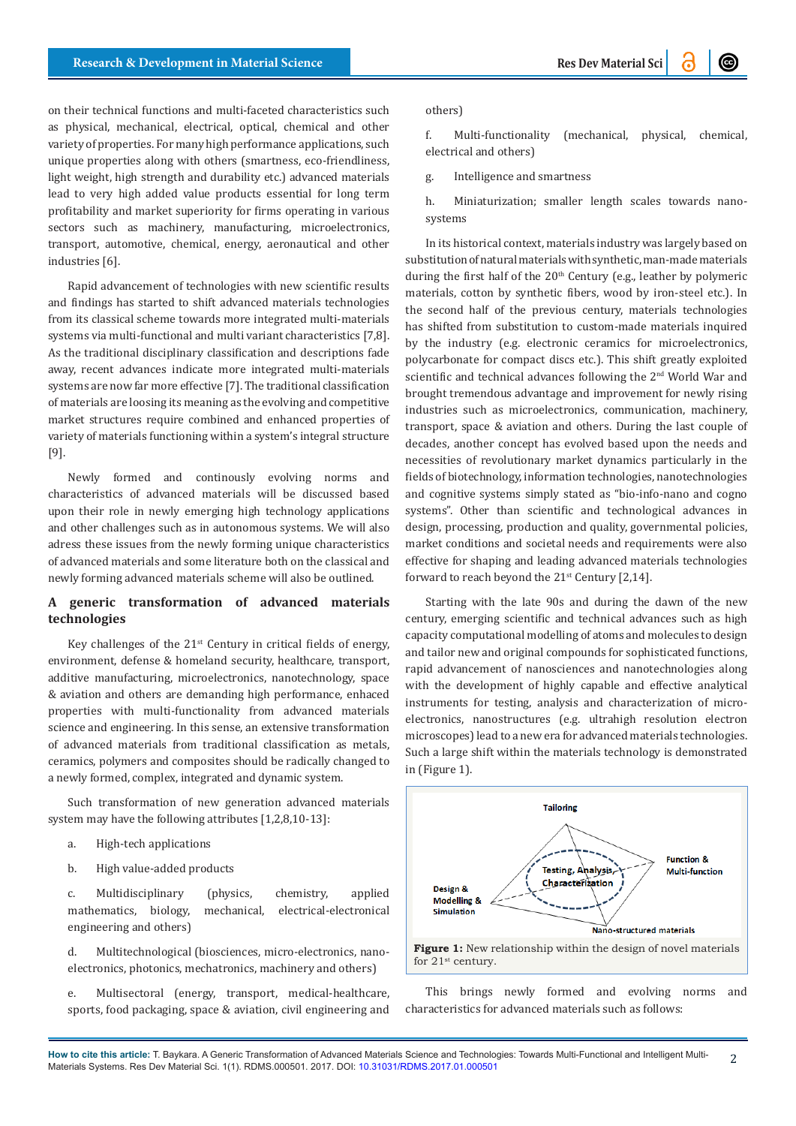on their technical functions and multi-faceted characteristics such as physical, mechanical, electrical, optical, chemical and other variety of properties. For many high performance applications, such unique properties along with others (smartness, eco-friendliness, light weight, high strength and durability etc.) advanced materials lead to very high added value products essential for long term profitability and market superiority for firms operating in various sectors such as machinery, manufacturing, microelectronics, transport, automotive, chemical, energy, aeronautical and other industries [6].

Rapid advancement of technologies with new scientific results and findings has started to shift advanced materials technologies from its classical scheme towards more integrated multi-materials systems via multi-functional and multi variant characteristics [7,8]. As the traditional disciplinary classification and descriptions fade away, recent advances indicate more integrated multi-materials systems are now far more effective [7]. The traditional classification of materials are loosing its meaning as the evolving and competitive market structures require combined and enhanced properties of variety of materials functioning within a system's integral structure [9].

Newly formed and continously evolving norms and characteristics of advanced materials will be discussed based upon their role in newly emerging high technology applications and other challenges such as in autonomous systems. We will also adress these issues from the newly forming unique characteristics of advanced materials and some literature both on the classical and newly forming advanced materials scheme will also be outlined.

# **A generic transformation of advanced materials technologies**

Key challenges of the  $21<sup>st</sup>$  Century in critical fields of energy, environment, defense & homeland security, healthcare, transport, additive manufacturing, microelectronics, nanotechnology, space & aviation and others are demanding high performance, enhaced properties with multi-functionality from advanced materials science and engineering. In this sense, an extensive transformation of advanced materials from traditional classification as metals, ceramics, polymers and composites should be radically changed to a newly formed, complex, integrated and dynamic system.

Such transformation of new generation advanced materials system may have the following attributes [1,2,8,10-13]:

- a. High-tech applications
- b. High value-added products

c. Multidisciplinary (physics, chemistry, applied mathematics, biology, mechanical, electrical-electronical engineering and others)

d. Multitechnological (biosciences, micro-electronics, nanoelectronics, photonics, mechatronics, machinery and others)

e. Multisectoral (energy, transport, medical-healthcare, sports, food packaging, space & aviation, civil engineering and

#### others)

f. Multi-functionality (mechanical, physical, chemical, electrical and others)

g. Intelligence and smartness

h. Miniaturization; smaller length scales towards nanosystems

In its historical context, materials industry was largely based on substitution of natural materials with synthetic, man-made materials during the first half of the  $20<sup>th</sup>$  Century (e.g., leather by polymeric materials, cotton by synthetic fibers, wood by iron-steel etc.). In the second half of the previous century, materials technologies has shifted from substitution to custom-made materials inquired by the industry (e.g. electronic ceramics for microelectronics, polycarbonate for compact discs etc.). This shift greatly exploited scientific and technical advances following the 2<sup>nd</sup> World War and brought tremendous advantage and improvement for newly rising industries such as microelectronics, communication, machinery, transport, space & aviation and others. During the last couple of decades, another concept has evolved based upon the needs and necessities of revolutionary market dynamics particularly in the fields of biotechnology, information technologies, nanotechnologies and cognitive systems simply stated as "bio-info-nano and cogno systems". Other than scientific and technological advances in design, processing, production and quality, governmental policies, market conditions and societal needs and requirements were also effective for shaping and leading advanced materials technologies forward to reach beyond the  $21^{st}$  Century [2,14].

Starting with the late 90s and during the dawn of the new century, emerging scientific and technical advances such as high capacity computational modelling of atoms and molecules to design and tailor new and original compounds for sophisticated functions, rapid advancement of nanosciences and nanotechnologies along with the development of highly capable and effective analytical instruments for testing, analysis and characterization of microelectronics, nanostructures (e.g. ultrahigh resolution electron microscopes) lead to a new era for advanced materials technologies. Such a large shift within the materials technology is demonstrated in (Figure 1).



This brings newly formed and evolving norms and characteristics for advanced materials such as follows: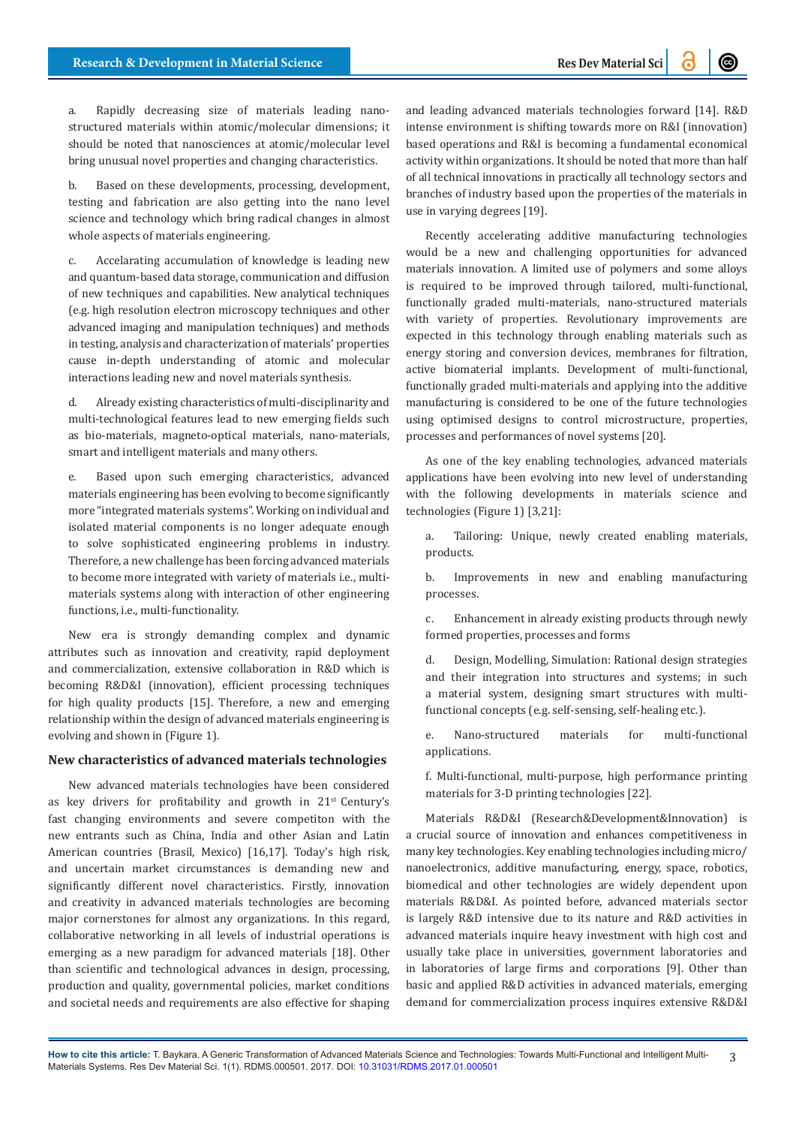a. Rapidly decreasing size of materials leading nanostructured materials within atomic/molecular dimensions; it should be noted that nanosciences at atomic/molecular level bring unusual novel properties and changing characteristics.

b. Based on these developments, processing, development, testing and fabrication are also getting into the nano level science and technology which bring radical changes in almost whole aspects of materials engineering.

c. Accelarating accumulation of knowledge is leading new and quantum-based data storage, communication and diffusion of new techniques and capabilities. New analytical techniques (e.g. high resolution electron microscopy techniques and other advanced imaging and manipulation techniques) and methods in testing, analysis and characterization of materials' properties cause in-depth understanding of atomic and molecular interactions leading new and novel materials synthesis.

d. Already existing characteristics of multi-disciplinarity and multi-technological features lead to new emerging fields such as bio-materials, magneto-optical materials, nano-materials, smart and intelligent materials and many others.

e. Based upon such emerging characteristics, advanced materials engineering has been evolving to become significantly more "integrated materials systems". Working on individual and isolated material components is no longer adequate enough to solve sophisticated engineering problems in industry. Therefore, a new challenge has been forcing advanced materials to become more integrated with variety of materials i.e., multimaterials systems along with interaction of other engineering functions, i.e., multi-functionality.

New era is strongly demanding complex and dynamic attributes such as innovation and creativity, rapid deployment and commercialization, extensive collaboration in R&D which is becoming R&D&I (innovation), efficient processing techniques for high quality products [15]. Therefore, a new and emerging relationship within the design of advanced materials engineering is evolving and shown in (Figure 1).

#### **New characteristics of advanced materials technologies**

New advanced materials technologies have been considered as key drivers for profitability and growth in 21<sup>st</sup> Century's fast changing environments and severe competiton with the new entrants such as China, India and other Asian and Latin American countries (Brasil, Mexico) [16,17]. Today's high risk, and uncertain market circumstances is demanding new and significantly different novel characteristics. Firstly, innovation and creativity in advanced materials technologies are becoming major cornerstones for almost any organizations. In this regard, collaborative networking in all levels of industrial operations is emerging as a new paradigm for advanced materials [18]. Other than scientific and technological advances in design, processing, production and quality, governmental policies, market conditions and societal needs and requirements are also effective for shaping and leading advanced materials technologies forward [14]. R&D intense environment is shifting towards more on R&I (innovation) based operations and R&I is becoming a fundamental economical activity within organizations. It should be noted that more than half of all technical innovations in practically all technology sectors and branches of industry based upon the properties of the materials in use in varying degrees [19].

Recently accelerating additive manufacturing technologies would be a new and challenging opportunities for advanced materials innovation. A limited use of polymers and some alloys is required to be improved through tailored, multi-functional, functionally graded multi-materials, nano-structured materials with variety of properties. Revolutionary improvements are expected in this technology through enabling materials such as energy storing and conversion devices, membranes for filtration, active biomaterial implants. Development of multi-functional, functionally graded multi-materials and applying into the additive manufacturing is considered to be one of the future technologies using optimised designs to control microstructure, properties, processes and performances of novel systems [20].

As one of the key enabling technologies, advanced materials applications have been evolving into new level of understanding with the following developments in materials science and technologies (Figure 1) [3,21]:

a. Tailoring: Unique, newly created enabling materials, products.

b. Improvements in new and enabling manufacturing processes.

c. Enhancement in already existing products through newly formed properties, processes and forms

d. Design, Modelling, Simulation: Rational design strategies and their integration into structures and systems; in such a material system, designing smart structures with multifunctional concepts (e.g. self-sensing, self-healing etc.).

e. Nano-structured materials for multi-functional applications.

f. Multi-functional, multi-purpose, high performance printing materials for 3-D printing technologies [22].

Materials R&D&I (Research&Development&Innovation) is a crucial source of innovation and enhances competitiveness in many key technologies. Key enabling technologies including micro/ nanoelectronics, additive manufacturing, energy, space, robotics, biomedical and other technologies are widely dependent upon materials R&D&I. As pointed before, advanced materials sector is largely R&D intensive due to its nature and R&D activities in advanced materials inquire heavy investment with high cost and usually take place in universities, government laboratories and in laboratories of large firms and corporations [9]. Other than basic and applied R&D activities in advanced materials, emerging demand for commercialization process inquires extensive R&D&I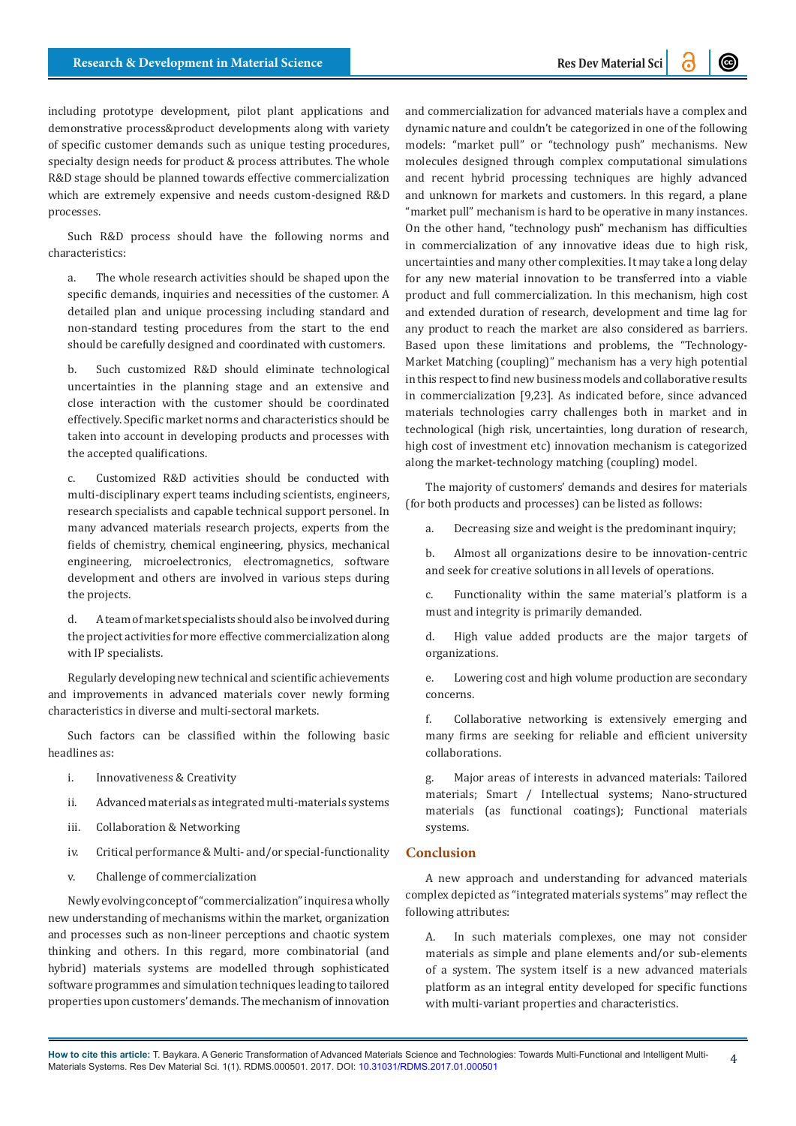including prototype development, pilot plant applications and demonstrative process&product developments along with variety of specific customer demands such as unique testing procedures, specialty design needs for product & process attributes. The whole R&D stage should be planned towards effective commercialization which are extremely expensive and needs custom-designed R&D processes.

Such R&D process should have the following norms and characteristics:

a. The whole research activities should be shaped upon the specific demands, inquiries and necessities of the customer. A detailed plan and unique processing including standard and non-standard testing procedures from the start to the end should be carefully designed and coordinated with customers.

b. Such customized R&D should eliminate technological uncertainties in the planning stage and an extensive and close interaction with the customer should be coordinated effectively. Specific market norms and characteristics should be taken into account in developing products and processes with the accepted qualifications.

c. Customized R&D activities should be conducted with multi-disciplinary expert teams including scientists, engineers, research specialists and capable technical support personel. In many advanced materials research projects, experts from the fields of chemistry, chemical engineering, physics, mechanical engineering, microelectronics, electromagnetics, software development and others are involved in various steps during the projects.

d. A team of market specialists should also be involved during the project activities for more effective commercialization along with IP specialists.

Regularly developing new technical and scientific achievements and improvements in advanced materials cover newly forming characteristics in diverse and multi-sectoral markets.

Such factors can be classified within the following basic headlines as:

- i. Innovativeness & Creativity
- ii. Advanced materials as integrated multi-materials systems
- iii. Collaboration & Networking
- iv. Critical performance & Multi- and/or special-functionality
- v. Challenge of commercialization

Newly evolving concept of "commercialization" inquires a wholly new understanding of mechanisms within the market, organization and processes such as non-lineer perceptions and chaotic system thinking and others. In this regard, more combinatorial (and hybrid) materials systems are modelled through sophisticated software programmes and simulation techniques leading to tailored properties upon customers' demands. The mechanism of innovation

and commercialization for advanced materials have a complex and dynamic nature and couldn't be categorized in one of the following models: "market pull" or "technology push" mechanisms. New molecules designed through complex computational simulations and recent hybrid processing techniques are highly advanced and unknown for markets and customers. In this regard, a plane "market pull" mechanism is hard to be operative in many instances. On the other hand, "technology push" mechanism has difficulties in commercialization of any innovative ideas due to high risk, uncertainties and many other complexities. It may take a long delay for any new material innovation to be transferred into a viable product and full commercialization. In this mechanism, high cost and extended duration of research, development and time lag for any product to reach the market are also considered as barriers. Based upon these limitations and problems, the "Technology-Market Matching (coupling)" mechanism has a very high potential in this respect to find new business models and collaborative results in commercialization [9,23]. As indicated before, since advanced materials technologies carry challenges both in market and in technological (high risk, uncertainties, long duration of research, high cost of investment etc) innovation mechanism is categorized along the market-technology matching (coupling) model.

The majority of customers' demands and desires for materials (for both products and processes) can be listed as follows:

a. Decreasing size and weight is the predominant inquiry;

b. Almost all organizations desire to be innovation-centric and seek for creative solutions in all levels of operations.

c. Functionality within the same material's platform is a must and integrity is primarily demanded.

d. High value added products are the major targets of organizations.

e. Lowering cost and high volume production are secondary concerns.

f. Collaborative networking is extensively emerging and many firms are seeking for reliable and efficient university collaborations.

g. Major areas of interests in advanced materials: Tailored materials; Smart / Intellectual systems; Nano-structured materials (as functional coatings); Functional materials systems.

## **Conclusion**

A new approach and understanding for advanced materials complex depicted as "integrated materials systems" may reflect the following attributes:

A. In such materials complexes, one may not consider materials as simple and plane elements and/or sub-elements of a system. The system itself is a new advanced materials platform as an integral entity developed for specific functions with multi-variant properties and characteristics.